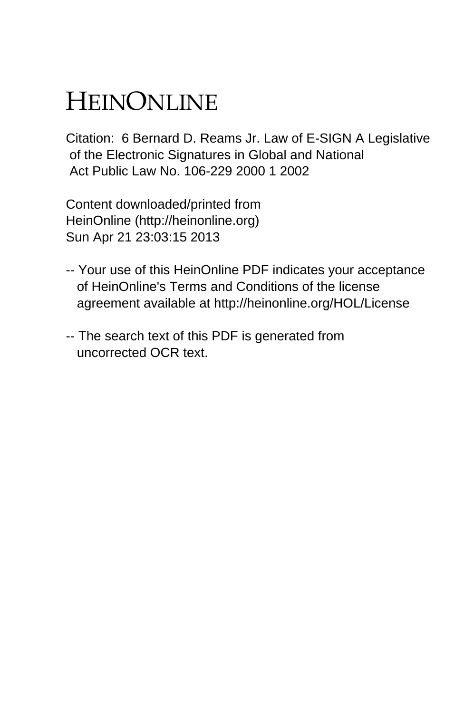# HEINONLINE

Citation: 6 Bernard D. Reams Jr. Law of E-SIGN A Legislative of the Electronic Signatures in Global and National Act Public Law No. 106-229 2000 1 2002

Content downloaded/printed from HeinOnline (http://heinonline.org) Sun Apr 21 23:03:15 2013

- -- Your use of this HeinOnline PDF indicates your acceptance of HeinOnline's Terms and Conditions of the license agreement available at http://heinonline.org/HOL/License
- -- The search text of this PDF is generated from uncorrected OCR text.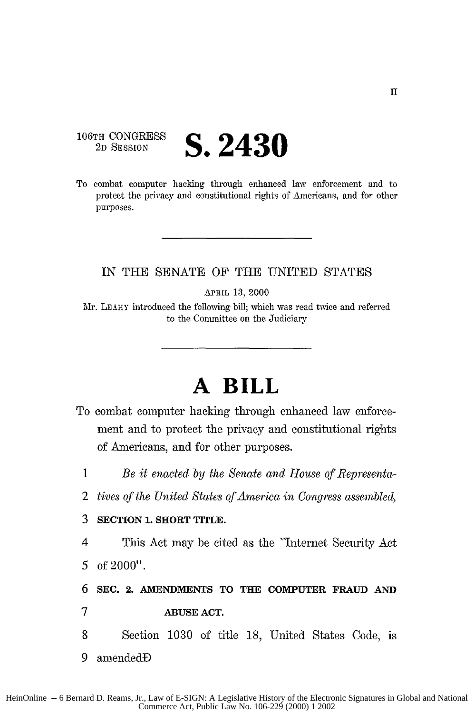#### **106TH CONGRESS**<br> **2D SESSION S. 2430**

To combat computer hacking through enhanced law enforcement and to protect the privacy and constitutional rights of Americans, and for other purposes.

#### IN THE SENATE OF THE UNITED STATES

APRIL **13,** 2000

Mr. LEAHY introduced the following bill; which was read twice and referred to the Committee on the Judiciary

## **A BILL**

- To combat computer hacking through enhanced law enforcement and to protect the privacy and constitutional rights of Americans, and for other purposes.
	- 1 *Be it enacted by the Senate and House of Representa-*
	- 2 *tives of the United States of America in Congress assembled,*

#### 3 **SECTION 1. SHORT** TITLE.

4 This Act may be cited as the "Internet Security Act *5* of 2000".

6 **SEC.** 2. **AMENDMENTS TO THE** COMPUTER **FRAUD AND**

- 7 **ABUSE ACT.**
- 8 Section 1030 of title 18, United States Code, is
- 9 amendedD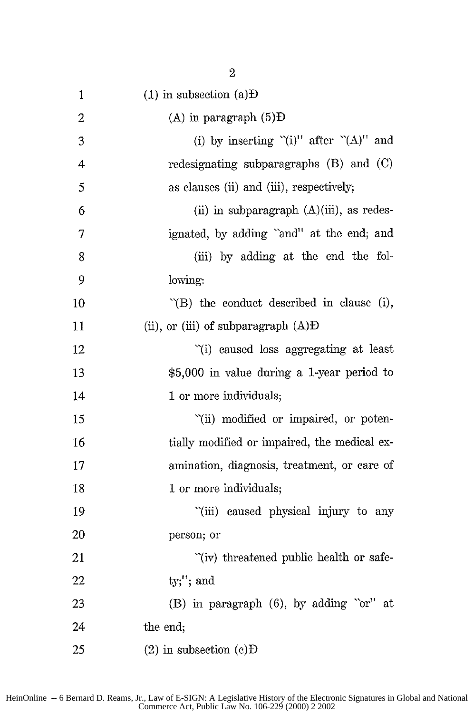| 1  | $(1)$ in subsection $(a)$ <b>D</b>               |
|----|--------------------------------------------------|
| 2  | $(A)$ in paragraph $(5)$ D                       |
| 3  | (i) by inserting "(i)" after " $(A)$ " and       |
| 4  | redesignating subparagraphs $(B)$ and $(C)$      |
| 5  | as clauses (ii) and (iii), respectively;         |
| 6  | (ii) in subparagraph $(A)(iii)$ , as redes-      |
| 7  | ignated, by adding "and" at the end; and         |
| 8  | (iii) by adding at the end the fol-              |
| 9  | lowing:                                          |
| 10 | $\tilde{B}$ the conduct described in clause (i), |
| 11 | (ii), or (iii) of subparagraph $(A)$ <b>D</b>    |
| 12 | "(i) caused loss aggregating at least            |
| 13 | \$5,000 in value during a 1-year period to       |
| 14 | 1 or more individuals;                           |
| 15 | "(ii) modified or impaired, or poten-            |
| 16 | tially modified or impaired, the medical ex-     |
| 17 | amination, diagnosis, treatment, or care of      |
| 18 | 1 or more individuals;                           |
| 19 | "(iii) caused physical injury to any             |
| 20 | person; or                                       |
| 21 | "(iv) threatened public health or safe-          |
| 22 | $ty;$ "; and                                     |
| 23 | (B) in paragraph (6), by adding "or" at          |
| 24 | the end;                                         |
| 25 | $(2)$ in subsection $(c)D$                       |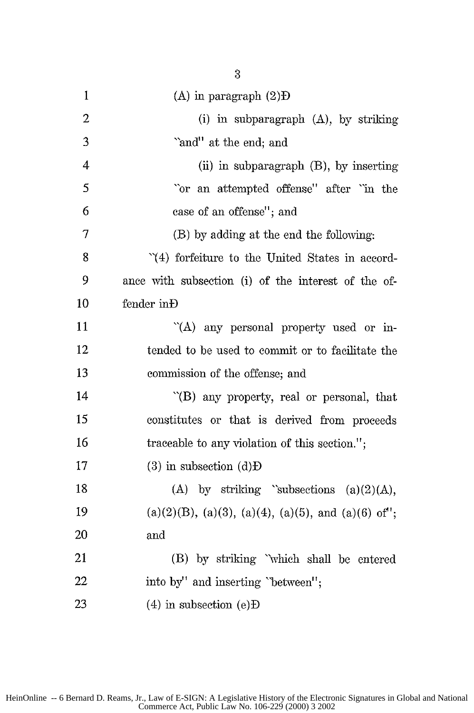| $\mathbf{1}$   | $(A)$ in paragraph $(2)D$                                        |
|----------------|------------------------------------------------------------------|
| $\overline{2}$ | (i) in subparagraph $(A)$ , by striking                          |
| 3              | "and" at the end; and                                            |
| 4              | (ii) in subparagraph $(B)$ , by inserting                        |
| 5              | 'or an attempted offense'' after 'in the                         |
| 6              | case of an offense"; and                                         |
| 7              | (B) by adding at the end the following:                          |
| 8              | "(4) forfeiture to the United States in accord-                  |
| 9              | ance with subsection (i) of the interest of the of-              |
| 10             | fender in Đ                                                      |
| 11             | "(A) any personal property used or in-                           |
| 12             | tended to be used to commit or to facilitate the                 |
| 13             | commission of the offense; and                                   |
| 14             | "(B) any property, real or personal, that                        |
| 15             | constitutes or that is derived from proceeds                     |
| 16             | traceable to any violation of this section.";                    |
| 17             | $(3)$ in subsection $(d)$ <b>D</b>                               |
| 18             | (A) by striking "subsections $(a)(2)(A)$ ,                       |
| 19             | $(a)(2)(B)$ , $(a)(3)$ , $(a)(4)$ , $(a)(5)$ , and $(a)(6)$ of"; |
| 20             | and                                                              |
| 21             | (B) by striking "which shall be entered                          |
| 22             | into by" and inserting "between";                                |
| 23             | $(4)$ in subsection $(e)D$                                       |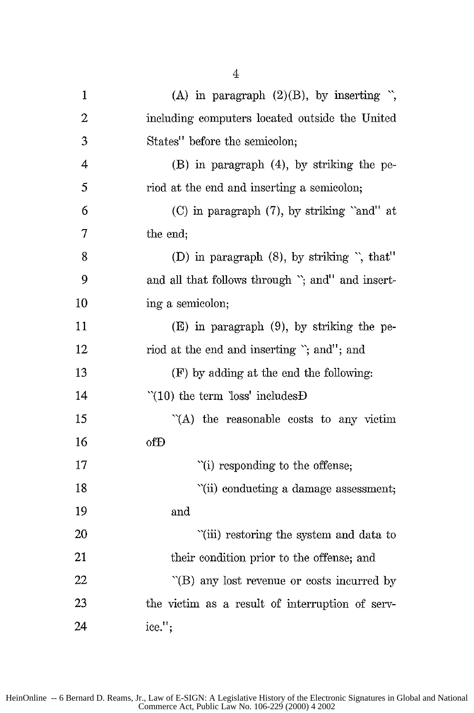| $\mathbf{1}$ | (A) in paragraph $(2)(B)$ , by inserting ",       |
|--------------|---------------------------------------------------|
| 2            | including computers located outside the United    |
| 3            | States" before the semicolon;                     |
| 4            | $(B)$ in paragraph $(4)$ , by striking the pe-    |
| 5            | riod at the end and inserting a semicolon;        |
| 6            | (C) in paragraph (7), by striking "and" at        |
| 7            | the end;                                          |
| 8            | (D) in paragraph (8), by striking ", that"        |
| 9            | and all that follows through "; and" and insert-  |
| 10           | ing a semicolon;                                  |
| 11           | $(E)$ in paragraph $(9)$ , by striking the pe-    |
| 12           | riod at the end and inserting "; and"; and        |
| 13           | (F) by adding at the end the following:           |
| 14           | $'(10)$ the term loss' includes $D$               |
| 15           | "(A) the reasonable costs to any victim           |
| 16           | ofĐ                                               |
| 17           | "(i) responding to the offense;                   |
| 18           | "(ii) conducting a damage assessment;             |
| 19           | and                                               |
| 20           | "(iii) restoring the system and data to           |
| 21           | their condition prior to the offense; and         |
| 22           | $\Gamma(B)$ any lost revenue or costs incurred by |
| 23           | the victim as a result of interruption of serv-   |
| 24           | ice.";                                            |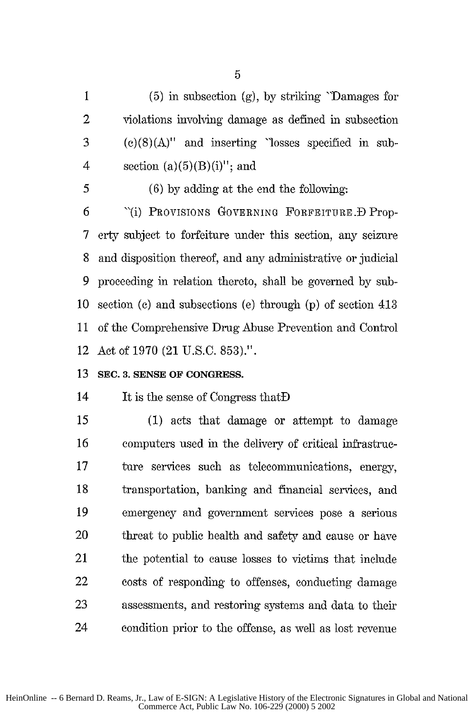1 (5) in subsection (g), by striking "Damages for 2 violations involving damage as defined in subsection 3 (c)(8)(A)" and inserting "losses specified in sub-4 section  $(a)(5)(B)(i)''$ ; and

*5* (6) by adding at the end the following: 6 "(i) PROVISIONS GOVERNING FORFEITURE. D Prop-7 erty subject to forfeiture under this section, any seizure 8 and disposition thereof, and any administrative or judicial 9 proceeding in relation thereto, shall be governed by sub-10 section (c) and subsections (e) through (p) of section 413 11 of the Comprehensive Drug Abuse Prevention and Control 12 Act of 1970 (21 U.S.C. 853).".

#### **13 SEC. 3. SENSE OF CONGRESS.**

14 It is the sense of Congress that **D** 

*15* (1) acts that damage or attempt to damage 16 computers used in the delivery of critical infrastrue-17 ture services such as teleconununications, energy, 18 transportation, banking and financial services, and 19 emergency and government services pose a serious 20 threat to public health and safety and cause or have 21 the potential to cause losses to victims that include 22 costs of responding to offenses, conducting damage **23** assessments, and restoring systems and data to their 24 condition prior to the offense, as well as lost revenue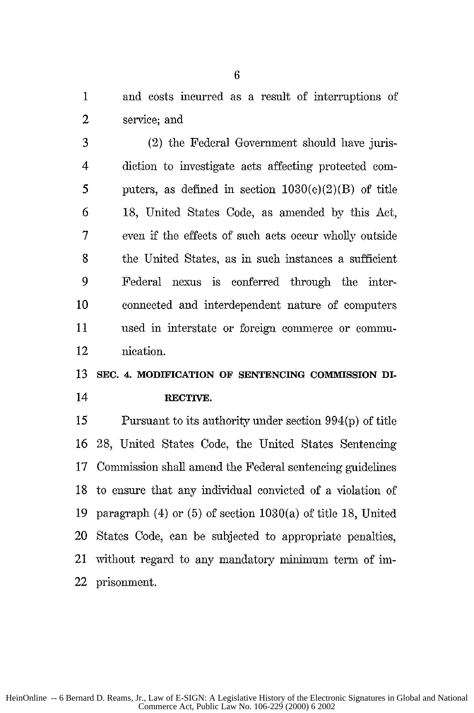1 and costs incurred as a result of interruptions of 2 service; and

3 (2) the Federal Government should have juris-4 diction to investigate acts affecting protected corn-5 puters, as defined in section  $1030(e)(2)(B)$  of title **6** 18, United States Code, as amended by this Act, 7 even if the effects of such acts occur wholly outside 8 the United States, as in such instances a sufficient 9 Federal nexus is conferred through the inter-10 connected and interdependent nature of computers 11 used in interstate or foreign conmerce or commi-12 nication.

### 13 **SEC.** 4. **MODIFICATION OF SENTENCING COMMISSION DI-**14 **RECTrVE.**

**15** Pursuant to its authority under section 994(p) of title 16 28, United States Code, the United States Sentencing 17 Connission shall amend the Federal sentencing guidelines 18 to ensure that any individual convicted of a violation of 19 paragraph (4) or (5) of section 1030(a) of title 18, United 20 States Code, can be subjected to appropriate penalties, 21 without regard to any mandatory minimum term of im-22 prisonment.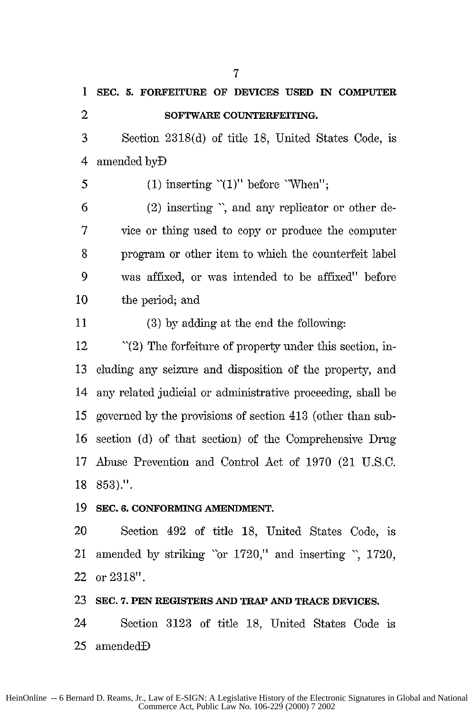1 **SEC. 5. FORFEITURE OF DEVICES USED IN COMPUTER** 2 **SOFTWARE COUNTERFEITING.** 3 Section 2318(d) of title **18,** United States Code, is 4 amended **byD** 5 (1) inserting  $(1)$ " before 'When"; 6 (2) inserting ", and any replicator or other de-7 vice or thing used to copy or produce the computer 8 program or other item to which the counterfeit label 9 was affixed, or was intended to be affixed" before 10 the period; and 11 (3) by adding at the end the following: 12 "(2) The forfeiture of property under this section, in-13 cluding any seizure and disposition of the property, and 14 any related judicial or administrative proceeding, shall be 15 governed by the provisions of section 413 (other than sub-**16** section (d) of that section) of the Comprehensive Drug 17 Abuse Prevention and Control Act of 1970 (21 U.S.C. 18 853).". **19 SEC. 6. CONFORMING AMENDMENT.** 20 Section 492 of title 18, United States Code, is 21 amended by striking "or 1720," and inserting ", 1720, 22 or 2318". **23 SEC. 7. PEN REGISTERS AND TRAP AND TRACE DEVICES.** 24 Section 3123 of title 18, United States Code is

7

25 amendedD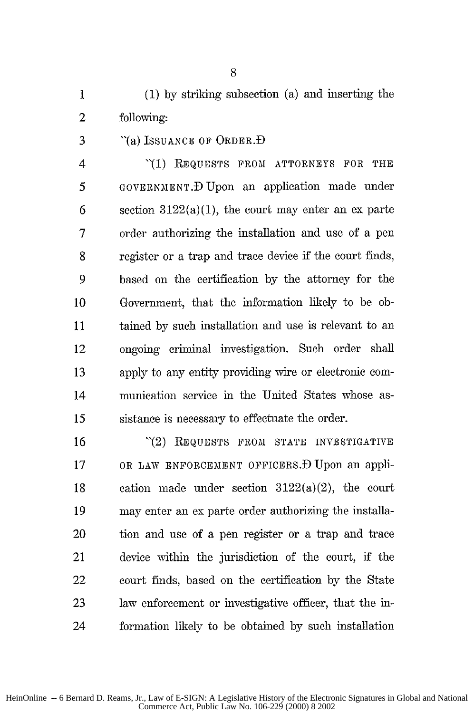1 (1) by striking subsection (a) and inserting the 2 following:

3 "(a) ISSUANCE OF ORDER.D

4 **"(1)** REQUESTS FROM ATTORNEYS FOR THE 5 GOVERNMENT.D Upon an application made under 6 section  $3122(a)(1)$ , the court may enter an ex parte 7 order authorizing the installation and use of a pen 8 register or a trap and trace device if the court finds, 9 based on the certification by the attorney for the 10 Government, that the information likely to be ob-11 tained by such installation and use is relevant to an 12 ongoing criminal investigation. Such order shall 13 apply to any entity providing wire or electronic com-14 munication service in the United States whose as-15 sistance is necessary to effectuate the order.

16 "(2) REQUESTS FROM STATE INVESTIGATIVE 17 OR LAW ENFORCEMENT OFFICERS.D Upon an appli-18 cation made under section  $3122(a)(2)$ , the court 19 may enter an ex parte order authorizing the installa-20 tion and use of a pen register or a trap and trace 21 device within the jurisdiction of the court, if the 22 court finds, based on the certification by the State 23 law enforcement or investigative officer, that the in-24 formation likely to be obtained by such installation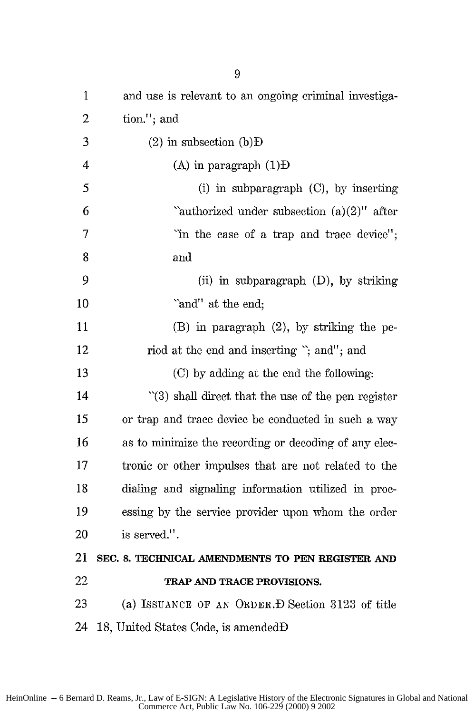| $\mathbf{1}$   | and use is relevant to an ongoing criminal investiga-  |
|----------------|--------------------------------------------------------|
| $\overline{2}$ | tion."; and                                            |
| 3              | $(2)$ in subsection $(b)$ <b>D</b>                     |
| $\overline{4}$ | $(A)$ in paragraph $(I)D$                              |
| 5              | $(i)$ in subparagraph $(C)$ , by inserting             |
| 6              | "authorized under subsection $(a)(2)$ " after          |
| 7              | "in the case of a trap and trace device";              |
| 8              | and                                                    |
| 9              | (ii) in subparagraph (D), by striking                  |
| 10             | "and" at the end;                                      |
| 11             | (B) in paragraph (2), by striking the pe-              |
| 12             | riod at the end and inserting "; and"; and             |
| 13             | (C) by adding at the end the following:                |
| 14             | $\lq(3)$ shall direct that the use of the pen register |
| 15             | or trap and trace device be conducted in such a way    |
| 16             | as to minimize the recording or decoding of any elec-  |
| 17             | tronic or other impulses that are not related to the   |
| 18             | dialing and signaling information utilized in proc-    |
| 19             | essing by the service provider upon whom the order     |
| 20             | is served.".                                           |
| 21             | SEC. 8. TECHNICAL AMENDMENTS TO PEN REGISTER AND       |
| 22             | TRAP AND TRACE PROVISIONS.                             |
| 23             | (a) ISSUANCE OF AN ORDER. D Section 3123 of title      |
| 24             | 18, United States Code, is amendedD                    |
|                |                                                        |

HeinOnline -- 6 Bernard D. Reams, Jr., Law of E-SIGN: A Legislative History of the Electronic Signatures in Global and National Commerce Act, Public Law No. 106-229 (2000) 9 2002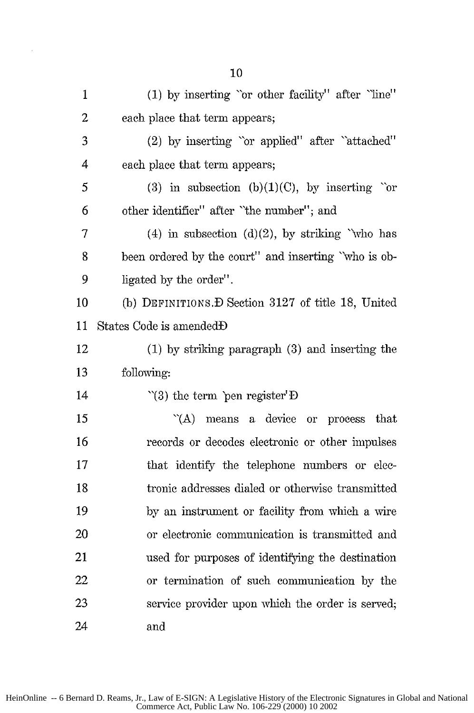| $\mathbf{1}$ | (1) by inserting "or other facility" after "line"    |
|--------------|------------------------------------------------------|
| 2            | each place that term appears;                        |
| 3            | (2) by inserting "or applied" after "attached"       |
| 4            | each place that term appears;                        |
| 5            | (3) in subsection (b)(1)(C), by inserting "or        |
| 6            | other identifier" after "the number"; and            |
| 7            | (4) in subsection (d)(2), by striking "who has       |
| 8            | been ordered by the court" and inserting "who is ob- |
| 9            | ligated by the order".                               |
| 10           | (b) DEFINITIONS. D Section 3127 of title 18, United  |
| 11           | States Code is amendedD                              |
| 12           | $(1)$ by striking paragraph $(3)$ and inserting the  |
| 13           | following:                                           |
| 14           | $\degree$ (3) the term pen register $\overline{D}$   |
| 15           | a device or process<br>$\hat{A}$<br>that<br>means    |
| 16           | records or decodes electronic or other impulses      |
| 17           | that identify the telephone numbers or elec-         |
| 18           | tronic addresses dialed or otherwise transmitted     |
| 19           | by an instrument or facility from which a wire       |
| 20           | or electronic communication is transmitted and       |
| 21           | used for purposes of identifying the destination     |
| 22           | or termination of such communication by the          |
| 23           | service provider upon which the order is served;     |
| 24           | and                                                  |

 $\bar{z}$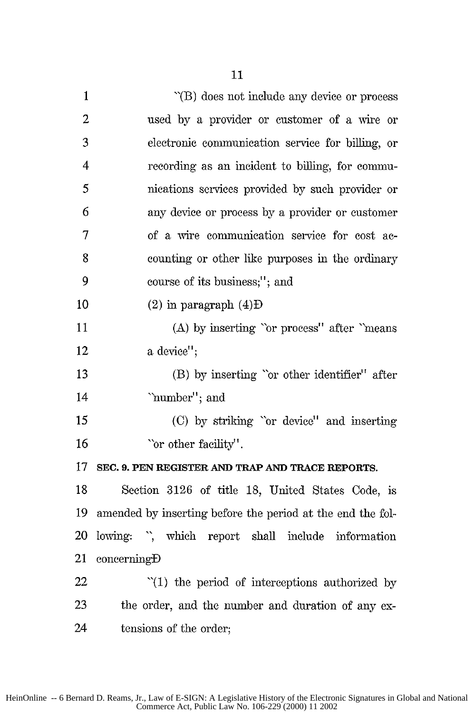| $\mathbf{1}$            | "(B) does not include any device or process                |
|-------------------------|------------------------------------------------------------|
| 2                       | used by a provider or customer of a wire or                |
| 3                       | electronic communication service for billing, or           |
| $\overline{\mathbf{4}}$ | recording as an incident to billing, for commu-            |
| 5                       | nications services provided by such provider or            |
| 6                       | any device or process by a provider or customer            |
| 7                       | of a wire communication service for cost ac-               |
| 8                       | counting or other like purposes in the ordinary            |
| 9                       | course of its business;"; and                              |
| 10                      | $(2)$ in paragraph $(4)$ D                                 |
| 11                      | (A) by inserting "or process" after "means"                |
| 12                      | a device";                                                 |
| 13                      | (B) by inserting "or other identifier" after               |
| 14                      | "number"; and                                              |
| 15                      | (C) by striking "or device" and inserting                  |
| 16                      | "or other facility".                                       |
| 17                      | SEC. 9. PEN REGISTER AND TRAP AND TRACE REPORTS.           |
| 18                      | Section 3126 of title 18, United States Code, is           |
| 19                      | amended by inserting before the period at the end the fol- |
| 20                      | lowing: ", which report shall include information          |
| 21                      | concerning                                                 |
| 22                      | $\lq(1)$ the period of interceptions authorized by         |
| 23                      | the order, and the number and duration of any ex-          |
| 24                      | tensions of the order;                                     |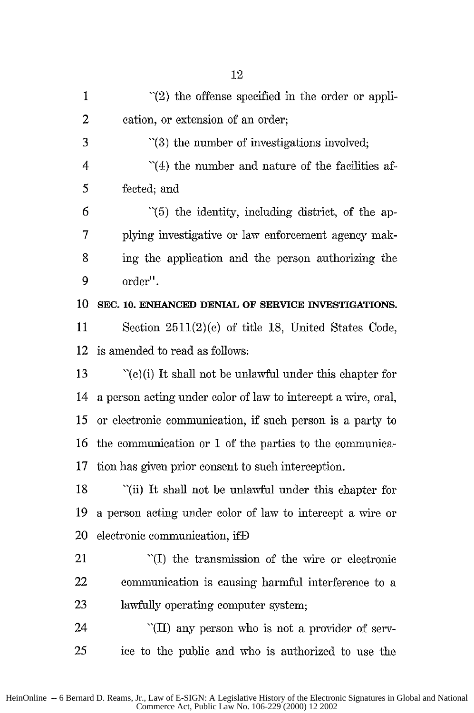| $\mathbf{1}$   | $\lq(2)$ the offense specified in the order or appli-                    |
|----------------|--------------------------------------------------------------------------|
| 2              | cation, or extension of an order;                                        |
| 3              | $\lq(3)$ the number of investigations involved;                          |
| $\overline{4}$ | $\hat{H}(4)$ the number and nature of the facilities af-                 |
| 5              | fected; and                                                              |
| 6              | "(5) the identity, including district, of the ap-                        |
| 7              | plying investigative or law enforcement agency mak-                      |
| 8              | ing the application and the person authorizing the                       |
| 9              | order".                                                                  |
| 10             | SEC. 10. ENHANCED DENIAL OF SERVICE INVESTIGATIONS.                      |
| 11             | Section 2511(2)(c) of title 18, United States Code,                      |
| 12             | is amended to read as follows:                                           |
| 13             | $\lq$ <sup>(c)</sup> (i) It shall not be unlawful under this chapter for |
| 14             | a person acting under color of law to intercept a wire, oral,            |
| 15             | or electronic communication, if such person is a party to                |
| 16             | the communication or 1 of the parties to the communica-                  |
| 17             | tion has given prior consent to such interception.                       |
| 18             | "(ii) It shall not be unlawful under this chapter for                    |
| 19             | a person acting under color of law to intercept a wire or                |
| 20             | electronic communication, ifD                                            |
| 21             | "(I) the transmission of the wire or electronic                          |
| 22             | communication is causing harmful interference to a                       |
| 23             | lawfully operating computer system;                                      |
| 24             | "(II) any person who is not a provider of serv-                          |
| 25             | ice to the public and who is authorized to use the                       |

HeinOnline -- 6 Bernard D. Reams, Jr., Law of E-SIGN: A Legislative History of the Electronic Signatures in Global and National Commerce Act, Public Law No. 106-229 (2000) 12 2002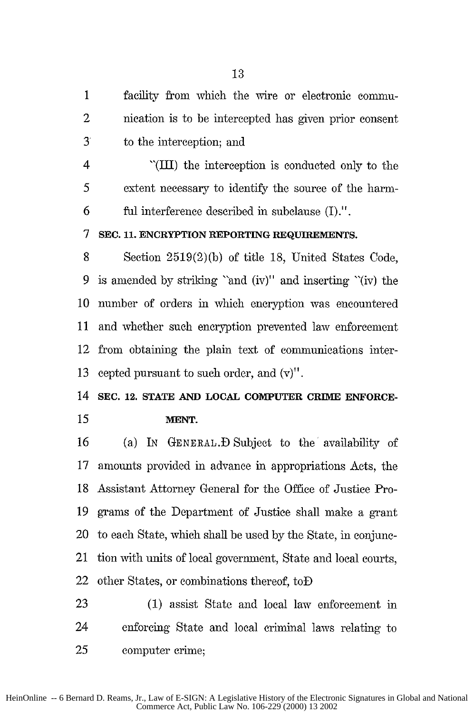1 facility from which the wire or electronic commu-2 nication is to be intercepted has given prior consent 3 to the interception; and

4 "(III) the interception is conducted only to the 5 extent necessary to identify the source of the harm-6 ful interference described in subelause **(I).".**

**7 SEC. 11.** ENCRYPTION REPORTING **REQUIREMENTS.**

8 Section 2519(2)(b) of title 18, United States Code, 9 is amended by striking "and (iv)" and inserting "(iv) the 10 number of orders in which encryption was encountered 11 and whether such encryption prevented law enforcement 12 from obtaining the plain text of conmunications inter-13 cepted pursuant to such order, and  $(v)$ ".

14 **SEC. 12. STATE AND LOCAL** COMPUTER **CRIME ENFORCE-***15* **MENT.**

16 (a) IN **GENERAL).D** Subject to the availability of 17 amounts provided in advance in appropriations Acts, the 18 Assistant Attorney General for the Office of Justice Pro-19 grams of the Department of Justice shall make a grant 20 to each State, which shall be used by the State, in conjunc-21 tion with units of local government, State and local courts, 22 other States, or combinations thereof, toD

23 (1) assist State and local law enforcement in 24 enforcing State and local criminal laws relating to 25 computer crime;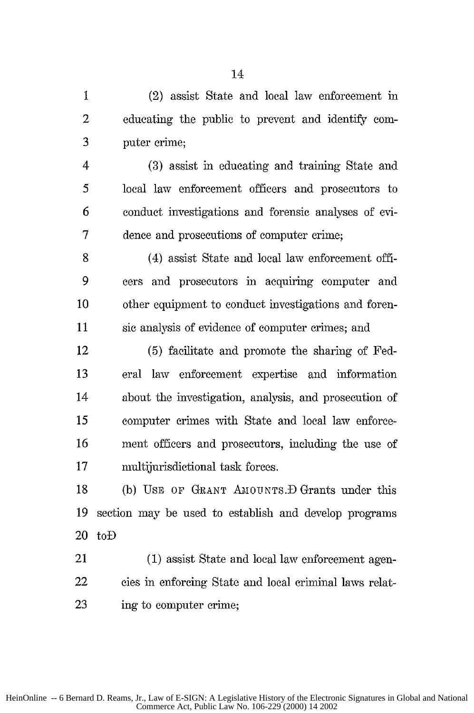1 (2) assist State and local law enforcement in 2 educating the public to prevent and identify con-3 puter crime;

4 (3) assist in educating and training State and 5 local law enforcement officers and prosecutors to 6 conduct investigations and forensic analyses of evi-7 dence and prosecutions of computer crime;

8 (4) assist State and local law enforcement offi-9 cers and prosecutors in acquiring computer and 10 other equipment to conduct investigations and foren-11 sic analysis of evidence of computer crimes; and

12 (5) facilitate and promote the sharing of Fed-13 eral law enforcement expertise and information 14 about the investigation, analysis, and prosecution of 15 computer crimes with State and local law enforce-16 ment officers and prosecutors, including the use of 17 multijurisdictional task forces.

18 (b) USE OF GRANT AMOUNTS. D Grants under this 19 section may be used to establish and develop programs 20 toD

21 (1) assist State and local law enforcement agen-22 cies in enforcing State and local criminal laws relat-23 ing to computer crime;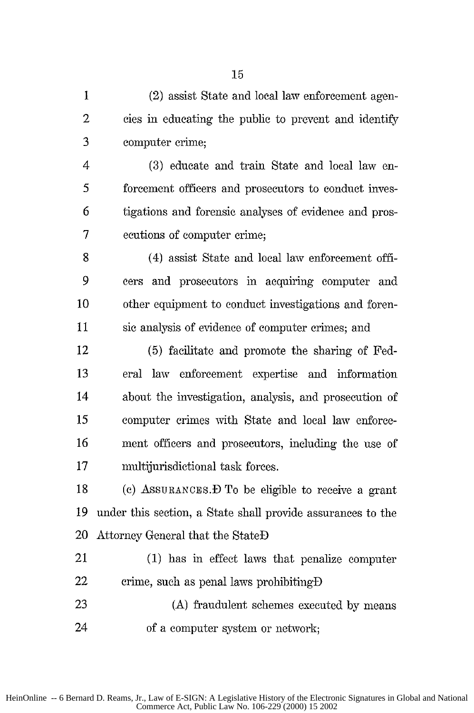1 (2) assist State and local law enforcement agen-2 cies in educating the public to prevent and identify 3 computer crime;

4 (3) educate and train State and local law en-5 forcement officers and prosecutors to conduct inves-**6** tigations and forensic analyses of evidence and pros-7 ecutions of computer crime;

8 (4) assist State and local law enforcement offi-9 cers and prosecutors in acquiring computer and 10 other equipment to conduct investigations and foren-11 sic analysis of evidence of computer crimes; and

12 (5) facilitate and promote the sharing of Fed-13 eral law enforcement expertise and information 14 about the investigation, analysis, and prosecution of 15 computer crimes with State and local law enforce-16 ment officers and prosecutors, including the use of 17 multijurisdictional task forces.

18 (c) ASSURANCES.  $\bf{D}$  To be eligible to receive a grant 19 under this section, a State shall provide assurances to the 20 Attorney General that the StateD

21 (1) has in effect laws that penalize computer 22 crime, such as penal laws prohibiting-D

23 (A) fraudulent schemes executed by means 24 of a computer system or network;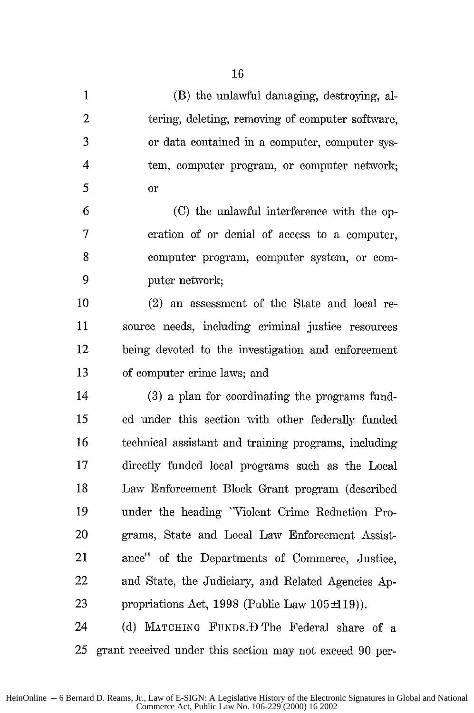| $\mathbf{1}$   | (B) the unlawful damaging, destroying, al-               |
|----------------|----------------------------------------------------------|
| $\overline{c}$ | tering, deleting, removing of computer software,         |
| 3              | or data contained in a computer, computer sys-           |
| $\overline{4}$ | tem, computer program, or computer network;              |
| 5              | or                                                       |
| 6              | (C) the unlawful interference with the op-               |
| $\tau$         | eration of or denial of access to a computer,            |
| 8              | computer program, computer system, or com-               |
| 9              | puter network;                                           |
| 10             | (2) an assessment of the State and local re-             |
| 11             | source needs, including criminal justice resources       |
| 12             | being devoted to the investigation and enforcement       |
| 13             | of computer crime laws; and                              |
| 14             | (3) a plan for coordinating the programs fund-           |
| 15             | ed under this section with other federally funded        |
| 16             | technical assistant and training programs, including     |
| 17             | directly funded local programs such as the Local         |
| 18             | Law Enforcement Block Grant program (described           |
| 19             | under the heading "Violent Crime Reduction Pro-          |
| 20             | grams, State and Local Law Enforcement Assist-           |
| 21             | ance" of the Departments of Commerce, Justice,           |
| 22             | and State, the Judiciary, and Related Agencies Ap-       |
| 23             | propriations Act, 1998 (Public Law $105\pm19$ ).         |
| 24             | (d) MATCHING FUNDS. D The Federal share of a             |
| 25             | grant received under this section may not exceed 90 per- |

HeinOnline -- 6 Bernard D. Reams, Jr., Law of E-SIGN: A Legislative History of the Electronic Signatures in Global and National Commerce Act, Public Law No. 106-229 (2000) 16 2002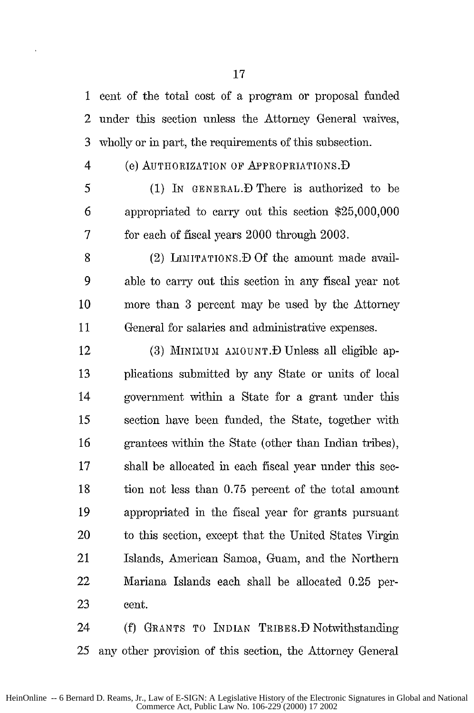1 cent of the total cost of a program or proposal funded 2 under this section unless the Attorney General waives, 3 wholly or in part, the requirements of this subsection.

#### 4 (e) AUTHORIZATION OF APPROPRIATIONS.D

5 (1) IN GENERAL.D There is authorized to be 6 appropriated to carry out this section \$25,000,000 7 for each of fiscal years 2000 through 2003.

8 (2) LIMITATIONS. D Of the amount made avail-9 able to carry out this section in any fiscal year not 10 more than 3 percent may be used by the Attorney 11 General for salaries and administrative expenses.

12 (3) MINIMUM AMOUNT. D Unless all eligible ap-13 plications submitted by any State or units of local 14 government within a State for a grant under this 15 section have been funded, the State, together with 16 grantees within the State (other than Indian tribes), 17 shall be allocated in each fiscal year under this see-18 tion not less than 0.75 percent of the total amount 19 appropriated in the fiscal year for grants pursuant 20 to this section, except that the United States Virgin 21 Islands, American Samoa, Guam, and the Northern 22 Mariana Islands each shall be allocated 0.25 per-23 cent.

24 (f) GRANTS TO INDIAN TRIBES.D Notwithstanding 25 any other provision of this section, the Attorney General

HeinOnline -- 6 Bernard D. Reams, Jr., Law of E-SIGN: A Legislative History of the Electronic Signatures in Global and National Commerce Act, Public Law No. 106-229 (2000) 17 2002